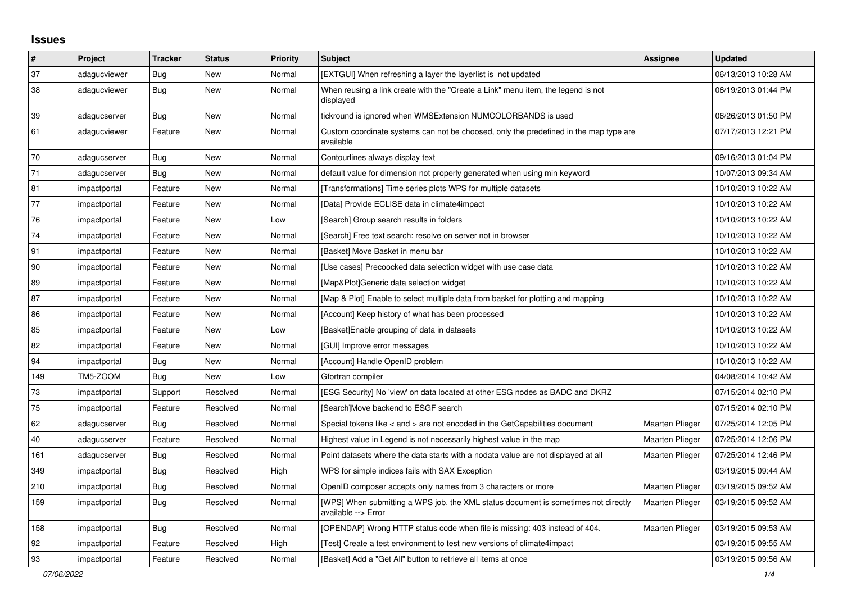## **Issues**

| #   | Project      | <b>Tracker</b> | <b>Status</b> | <b>Priority</b> | <b>Subject</b>                                                                                            | <b>Assignee</b>        | <b>Updated</b>      |
|-----|--------------|----------------|---------------|-----------------|-----------------------------------------------------------------------------------------------------------|------------------------|---------------------|
| 37  | adagucviewer | Bug            | New           | Normal          | [EXTGUI] When refreshing a layer the layerlist is not updated                                             |                        | 06/13/2013 10:28 AM |
| 38  | adagucviewer | Bug            | <b>New</b>    | Normal          | When reusing a link create with the "Create a Link" menu item, the legend is not<br>displayed             |                        | 06/19/2013 01:44 PM |
| 39  | adagucserver | Bug            | New           | Normal          | tickround is ignored when WMSExtension NUMCOLORBANDS is used                                              |                        | 06/26/2013 01:50 PM |
| 61  | adagucviewer | Feature        | <b>New</b>    | Normal          | Custom coordinate systems can not be choosed, only the predefined in the map type are<br>available        |                        | 07/17/2013 12:21 PM |
| 70  | adagucserver | Bug            | New           | Normal          | Contourlines always display text                                                                          |                        | 09/16/2013 01:04 PM |
| 71  | adagucserver | <b>Bug</b>     | <b>New</b>    | Normal          | default value for dimension not properly generated when using min keyword                                 |                        | 10/07/2013 09:34 AM |
| 81  | impactportal | Feature        | <b>New</b>    | Normal          | [Transformations] Time series plots WPS for multiple datasets                                             |                        | 10/10/2013 10:22 AM |
| 77  | impactportal | Feature        | New           | Normal          | [Data] Provide ECLISE data in climate4impact                                                              |                        | 10/10/2013 10:22 AM |
| 76  | impactportal | Feature        | <b>New</b>    | Low             | [Search] Group search results in folders                                                                  |                        | 10/10/2013 10:22 AM |
| 74  | impactportal | Feature        | <b>New</b>    | Normal          | [Search] Free text search: resolve on server not in browser                                               |                        | 10/10/2013 10:22 AM |
| 91  | impactportal | Feature        | New           | Normal          | [Basket] Move Basket in menu bar                                                                          |                        | 10/10/2013 10:22 AM |
| 90  | impactportal | Feature        | <b>New</b>    | Normal          | [Use cases] Precoocked data selection widget with use case data                                           |                        | 10/10/2013 10:22 AM |
| 89  | impactportal | Feature        | New           | Normal          | [Map&Plot]Generic data selection widget                                                                   |                        | 10/10/2013 10:22 AM |
| 87  | impactportal | Feature        | <b>New</b>    | Normal          | [Map & Plot] Enable to select multiple data from basket for plotting and mapping                          |                        | 10/10/2013 10:22 AM |
| 86  | impactportal | Feature        | New           | Normal          | [Account] Keep history of what has been processed                                                         |                        | 10/10/2013 10:22 AM |
| 85  | impactportal | Feature        | <b>New</b>    | Low             | [Basket]Enable grouping of data in datasets                                                               |                        | 10/10/2013 10:22 AM |
| 82  | impactportal | Feature        | New           | Normal          | [GUI] Improve error messages                                                                              |                        | 10/10/2013 10:22 AM |
| 94  | impactportal | <b>Bug</b>     | New           | Normal          | [Account] Handle OpenID problem                                                                           |                        | 10/10/2013 10:22 AM |
| 149 | TM5-ZOOM     | <b>Bug</b>     | New           | Low             | Gfortran compiler                                                                                         |                        | 04/08/2014 10:42 AM |
| 73  | impactportal | Support        | Resolved      | Normal          | [ESG Security] No 'view' on data located at other ESG nodes as BADC and DKRZ                              |                        | 07/15/2014 02:10 PM |
| 75  | impactportal | Feature        | Resolved      | Normal          | [Search]Move backend to ESGF search                                                                       |                        | 07/15/2014 02:10 PM |
| 62  | adagucserver | Bug            | Resolved      | Normal          | Special tokens like < and > are not encoded in the GetCapabilities document                               | Maarten Plieger        | 07/25/2014 12:05 PM |
| 40  | adagucserver | Feature        | Resolved      | Normal          | Highest value in Legend is not necessarily highest value in the map                                       | Maarten Plieger        | 07/25/2014 12:06 PM |
| 161 | adagucserver | Bug            | Resolved      | Normal          | Point datasets where the data starts with a nodata value are not displayed at all                         | Maarten Plieger        | 07/25/2014 12:46 PM |
| 349 | impactportal | Bug            | Resolved      | High            | WPS for simple indices fails with SAX Exception                                                           |                        | 03/19/2015 09:44 AM |
| 210 | impactportal | <b>Bug</b>     | Resolved      | Normal          | OpenID composer accepts only names from 3 characters or more                                              | <b>Maarten Plieger</b> | 03/19/2015 09:52 AM |
| 159 | impactportal | Bug            | Resolved      | Normal          | [WPS] When submitting a WPS job, the XML status document is sometimes not directly<br>available --> Error | Maarten Plieger        | 03/19/2015 09:52 AM |
| 158 | impactportal | <b>Bug</b>     | Resolved      | Normal          | [OPENDAP] Wrong HTTP status code when file is missing: 403 instead of 404.                                | <b>Maarten Plieger</b> | 03/19/2015 09:53 AM |
| 92  | impactportal | Feature        | Resolved      | High            | [Test] Create a test environment to test new versions of climate4impact                                   |                        | 03/19/2015 09:55 AM |
| 93  | impactportal | Feature        | Resolved      | Normal          | [Basket] Add a "Get All" button to retrieve all items at once                                             |                        | 03/19/2015 09:56 AM |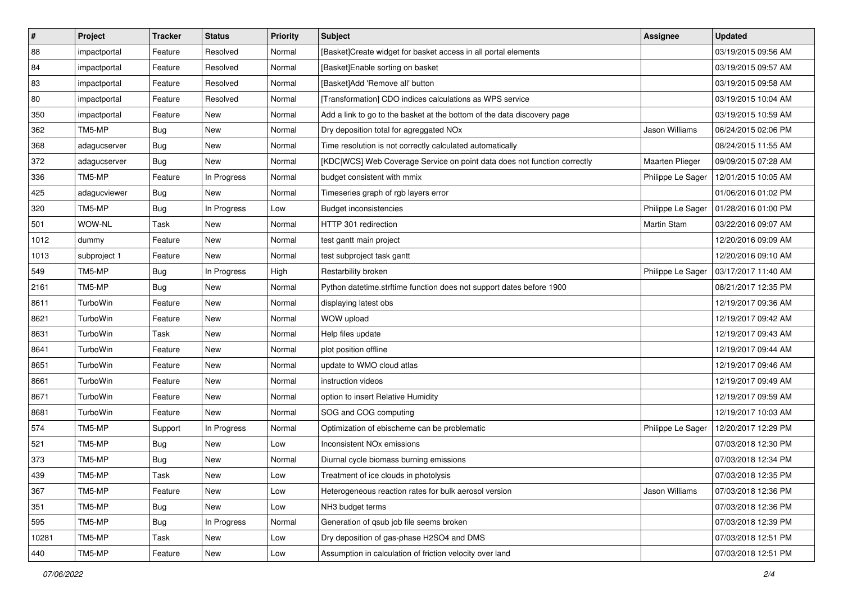| $\pmb{\#}$ | Project      | <b>Tracker</b> | <b>Status</b> | Priority | <b>Subject</b>                                                           | Assignee               | <b>Updated</b>      |
|------------|--------------|----------------|---------------|----------|--------------------------------------------------------------------------|------------------------|---------------------|
| 88         | impactportal | Feature        | Resolved      | Normal   | [Basket]Create widget for basket access in all portal elements           |                        | 03/19/2015 09:56 AM |
| 84         | impactportal | Feature        | Resolved      | Normal   | [Basket]Enable sorting on basket                                         |                        | 03/19/2015 09:57 AM |
| 83         | impactportal | Feature        | Resolved      | Normal   | [Basket]Add 'Remove all' button                                          |                        | 03/19/2015 09:58 AM |
| 80         | impactportal | Feature        | Resolved      | Normal   | [Transformation] CDO indices calculations as WPS service                 |                        | 03/19/2015 10:04 AM |
| 350        | impactportal | Feature        | <b>New</b>    | Normal   | Add a link to go to the basket at the bottom of the data discovery page  |                        | 03/19/2015 10:59 AM |
| 362        | TM5-MP       | <b>Bug</b>     | New           | Normal   | Dry deposition total for agreggated NOx                                  | Jason Williams         | 06/24/2015 02:06 PM |
| 368        | adagucserver | <b>Bug</b>     | New           | Normal   | Time resolution is not correctly calculated automatically                |                        | 08/24/2015 11:55 AM |
| 372        | adagucserver | <b>Bug</b>     | New           | Normal   | [KDC WCS] Web Coverage Service on point data does not function correctly | <b>Maarten Plieger</b> | 09/09/2015 07:28 AM |
| 336        | TM5-MP       | Feature        | In Progress   | Normal   | budget consistent with mmix                                              | Philippe Le Sager      | 12/01/2015 10:05 AM |
| 425        | adagucviewer | Bug            | New           | Normal   | Timeseries graph of rgb layers error                                     |                        | 01/06/2016 01:02 PM |
| 320        | TM5-MP       | <b>Bug</b>     | In Progress   | Low      | <b>Budget inconsistencies</b>                                            | Philippe Le Sager      | 01/28/2016 01:00 PM |
| 501        | WOW-NL       | Task           | New           | Normal   | HTTP 301 redirection                                                     | <b>Martin Stam</b>     | 03/22/2016 09:07 AM |
| 1012       | dummy        | Feature        | <b>New</b>    | Normal   | test gantt main project                                                  |                        | 12/20/2016 09:09 AM |
| 1013       | subproject 1 | Feature        | <b>New</b>    | Normal   | test subproject task gantt                                               |                        | 12/20/2016 09:10 AM |
| 549        | TM5-MP       | <b>Bug</b>     | In Progress   | High     | Restarbility broken                                                      | Philippe Le Sager      | 03/17/2017 11:40 AM |
| 2161       | TM5-MP       | Bug            | New           | Normal   | Python datetime.strftime function does not support dates before 1900     |                        | 08/21/2017 12:35 PM |
| 8611       | TurboWin     | Feature        | New           | Normal   | displaying latest obs                                                    |                        | 12/19/2017 09:36 AM |
| 8621       | TurboWin     | Feature        | New           | Normal   | WOW upload                                                               |                        | 12/19/2017 09:42 AM |
| 8631       | TurboWin     | Task           | New           | Normal   | Help files update                                                        |                        | 12/19/2017 09:43 AM |
| 8641       | TurboWin     | Feature        | <b>New</b>    | Normal   | plot position offline                                                    |                        | 12/19/2017 09:44 AM |
| 8651       | TurboWin     | Feature        | New           | Normal   | update to WMO cloud atlas                                                |                        | 12/19/2017 09:46 AM |
| 8661       | TurboWin     | Feature        | New           | Normal   | instruction videos                                                       |                        | 12/19/2017 09:49 AM |
| 8671       | TurboWin     | Feature        | New           | Normal   | option to insert Relative Humidity                                       |                        | 12/19/2017 09:59 AM |
| 8681       | TurboWin     | Feature        | <b>New</b>    | Normal   | SOG and COG computing                                                    |                        | 12/19/2017 10:03 AM |
| 574        | TM5-MP       | Support        | In Progress   | Normal   | Optimization of ebischeme can be problematic                             | Philippe Le Sager      | 12/20/2017 12:29 PM |
| 521        | TM5-MP       | Bug            | New           | Low      | Inconsistent NO <sub>x</sub> emissions                                   |                        | 07/03/2018 12:30 PM |
| 373        | TM5-MP       | <b>Bug</b>     | New           | Normal   | Diurnal cycle biomass burning emissions                                  |                        | 07/03/2018 12:34 PM |
| 439        | TM5-MP       | Task           | New           | Low      | Treatment of ice clouds in photolysis                                    |                        | 07/03/2018 12:35 PM |
| 367        | TM5-MP       | Feature        | New           | Low      | Heterogeneous reaction rates for bulk aerosol version                    | Jason Williams         | 07/03/2018 12:36 PM |
| 351        | TM5-MP       | Bug            | New           | Low      | NH3 budget terms                                                         |                        | 07/03/2018 12:36 PM |
| 595        | TM5-MP       | <b>Bug</b>     | In Progress   | Normal   | Generation of qsub job file seems broken                                 |                        | 07/03/2018 12:39 PM |
| 10281      | TM5-MP       | Task           | New           | Low      | Dry deposition of gas-phase H2SO4 and DMS                                |                        | 07/03/2018 12:51 PM |
| 440        | TM5-MP       | Feature        | New           | Low      | Assumption in calculation of friction velocity over land                 |                        | 07/03/2018 12:51 PM |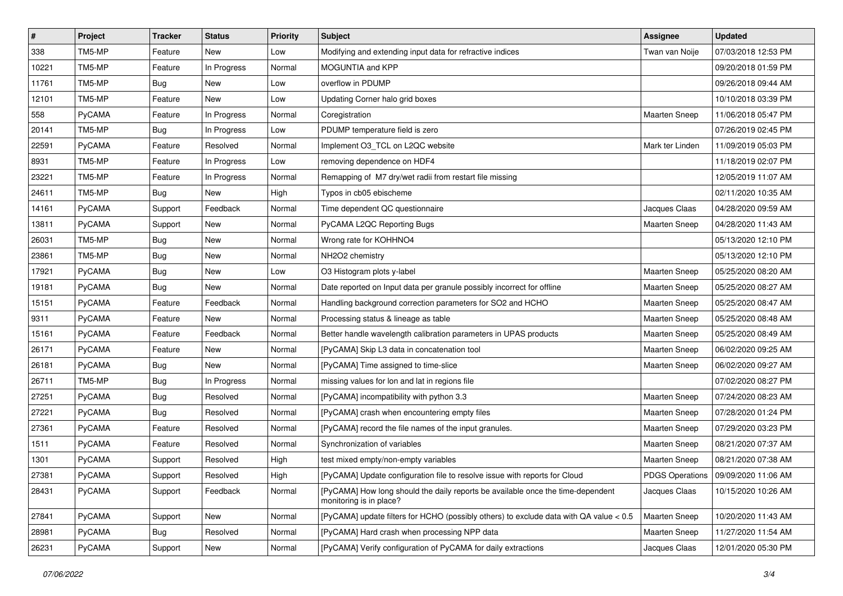| $\pmb{\#}$ | Project       | <b>Tracker</b> | <b>Status</b> | <b>Priority</b> | <b>Subject</b>                                                                                             | Assignee             | <b>Updated</b>                        |
|------------|---------------|----------------|---------------|-----------------|------------------------------------------------------------------------------------------------------------|----------------------|---------------------------------------|
| 338        | TM5-MP        | Feature        | New           | Low             | Modifying and extending input data for refractive indices                                                  | Twan van Noije       | 07/03/2018 12:53 PM                   |
| 10221      | TM5-MP        | Feature        | In Progress   | Normal          | MOGUNTIA and KPP                                                                                           |                      | 09/20/2018 01:59 PM                   |
| 11761      | TM5-MP        | Bug            | New           | Low             | overflow in PDUMP                                                                                          |                      | 09/26/2018 09:44 AM                   |
| 12101      | TM5-MP        | Feature        | New           | Low             | Updating Corner halo grid boxes                                                                            |                      | 10/10/2018 03:39 PM                   |
| 558        | PyCAMA        | Feature        | In Progress   | Normal          | Coregistration                                                                                             | <b>Maarten Sneep</b> | 11/06/2018 05:47 PM                   |
| 20141      | TM5-MP        | <b>Bug</b>     | In Progress   | Low             | PDUMP temperature field is zero                                                                            |                      | 07/26/2019 02:45 PM                   |
| 22591      | PyCAMA        | Feature        | Resolved      | Normal          | Implement O3 TCL on L2QC website                                                                           | Mark ter Linden      | 11/09/2019 05:03 PM                   |
| 8931       | TM5-MP        | Feature        | In Progress   | Low             | removing dependence on HDF4                                                                                |                      | 11/18/2019 02:07 PM                   |
| 23221      | TM5-MP        | Feature        | In Progress   | Normal          | Remapping of M7 dry/wet radii from restart file missing                                                    |                      | 12/05/2019 11:07 AM                   |
| 24611      | TM5-MP        | <b>Bug</b>     | New           | High            | Typos in cb05 ebischeme                                                                                    |                      | 02/11/2020 10:35 AM                   |
| 14161      | <b>PyCAMA</b> | Support        | Feedback      | Normal          | Time dependent QC questionnaire                                                                            | Jacques Claas        | 04/28/2020 09:59 AM                   |
| 13811      | PyCAMA        | Support        | New           | Normal          | PyCAMA L2QC Reporting Bugs                                                                                 | <b>Maarten Sneep</b> | 04/28/2020 11:43 AM                   |
| 26031      | TM5-MP        | <b>Bug</b>     | New           | Normal          | Wrong rate for KOHHNO4                                                                                     |                      | 05/13/2020 12:10 PM                   |
| 23861      | TM5-MP        | <b>Bug</b>     | New           | Normal          | NH2O2 chemistry                                                                                            |                      | 05/13/2020 12:10 PM                   |
| 17921      | PyCAMA        | <b>Bug</b>     | New           | Low             | O3 Histogram plots y-label                                                                                 | <b>Maarten Sneep</b> | 05/25/2020 08:20 AM                   |
| 19181      | PyCAMA        | <b>Bug</b>     | New           | Normal          | Date reported on Input data per granule possibly incorrect for offline                                     | <b>Maarten Sneep</b> | 05/25/2020 08:27 AM                   |
| 15151      | PyCAMA        | Feature        | Feedback      | Normal          | Handling background correction parameters for SO2 and HCHO                                                 | <b>Maarten Sneep</b> | 05/25/2020 08:47 AM                   |
| 9311       | PyCAMA        | Feature        | <b>New</b>    | Normal          | Processing status & lineage as table                                                                       | <b>Maarten Sneep</b> | 05/25/2020 08:48 AM                   |
| 15161      | PyCAMA        | Feature        | Feedback      | Normal          | Better handle wavelength calibration parameters in UPAS products                                           | Maarten Sneep        | 05/25/2020 08:49 AM                   |
| 26171      | PyCAMA        | Feature        | New           | Normal          | [PyCAMA] Skip L3 data in concatenation tool                                                                | <b>Maarten Sneep</b> | 06/02/2020 09:25 AM                   |
| 26181      | PyCAMA        | <b>Bug</b>     | New           | Normal          | [PyCAMA] Time assigned to time-slice                                                                       | Maarten Sneep        | 06/02/2020 09:27 AM                   |
| 26711      | TM5-MP        | Bug            | In Progress   | Normal          | missing values for lon and lat in regions file                                                             |                      | 07/02/2020 08:27 PM                   |
| 27251      | PyCAMA        | <b>Bug</b>     | Resolved      | Normal          | [PyCAMA] incompatibility with python 3.3                                                                   | <b>Maarten Sneep</b> | 07/24/2020 08:23 AM                   |
| 27221      | PyCAMA        | <b>Bug</b>     | Resolved      | Normal          | [PyCAMA] crash when encountering empty files                                                               | <b>Maarten Sneep</b> | 07/28/2020 01:24 PM                   |
| 27361      | PyCAMA        | Feature        | Resolved      | Normal          | [PyCAMA] record the file names of the input granules.                                                      | <b>Maarten Sneep</b> | 07/29/2020 03:23 PM                   |
| 1511       | <b>PyCAMA</b> | Feature        | Resolved      | Normal          | Synchronization of variables                                                                               | <b>Maarten Sneep</b> | 08/21/2020 07:37 AM                   |
| 1301       | PyCAMA        | Support        | Resolved      | High            | test mixed empty/non-empty variables                                                                       | <b>Maarten Sneep</b> | 08/21/2020 07:38 AM                   |
| 27381      | PyCAMA        | Support        | Resolved      | High            | [PyCAMA] Update configuration file to resolve issue with reports for Cloud                                 |                      | PDGS Operations   09/09/2020 11:06 AM |
| 28431      | <b>PyCAMA</b> | Support        | Feedback      | Normal          | [PyCAMA] How long should the daily reports be available once the time-dependent<br>monitoring is in place? | Jacques Claas        | 10/15/2020 10:26 AM                   |
| 27841      | PyCAMA        | Support        | New           | Normal          | [PyCAMA] update filters for HCHO (possibly others) to exclude data with QA value < 0.5                     | Maarten Sneep        | 10/20/2020 11:43 AM                   |
| 28981      | PyCAMA        | <b>Bug</b>     | Resolved      | Normal          | [PyCAMA] Hard crash when processing NPP data                                                               | <b>Maarten Sneep</b> | 11/27/2020 11:54 AM                   |
| 26231      | PyCAMA        | Support        | New           | Normal          | [PyCAMA] Verify configuration of PyCAMA for daily extractions                                              | Jacques Claas        | 12/01/2020 05:30 PM                   |